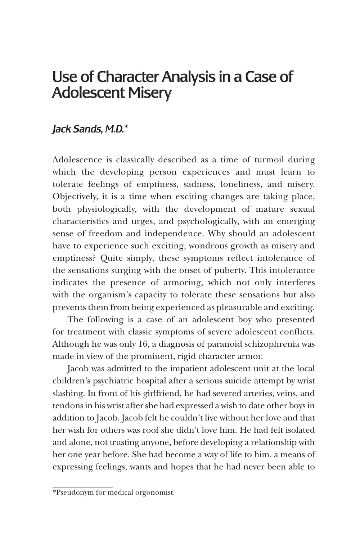## Use of Character Analysis in a Case of Adolescent Misery

## *Jack Sands, M.D.\**

Adolescence is classically described as a time of turmoil during which the developing person experiences and must learn to tolerate feelings of emptiness, sadness, loneliness, and misery. Objectively, it is a time when exciting changes are taking place, both physiologically, with the development of mature sexual characteristics and urges, and psychologically, with an emerging sense of freedom and independence. Why should an adolescent have to experience such exciting, wondrous growth as misery and emptiness? Quite simply, these symptoms reflect intolerance of the sensations surging with the onset of puberty. This intolerance indicates the presence of armoring, which not only interferes with the organism's capacity to tolerate these sensations but also prevents them from being experienced as pleasurable and exciting.

The following is a case of an adolescent boy who presented for treatment with classic symptoms of severe adolescent conflicts. Although he was only 16, a diagnosis of paranoid schizophrenia was made in view of the prominent, rigid character armor.

Jacob was admitted to the impatient adolescent unit at the local children's psychiatric hospital after a serious suicide attempt by wrist slashing. In front of his girlfriend, he had severed arteries, veins, and tendons in his wrist after she had expressed a wish to date other boys in addition to Jacob. Jacob felt he couldn't live without her love and that her wish for others was roof she didn't love him. He had felt isolated and alone, not trusting anyone, before developing a relationship with her one year before. She had become a way of life to him, a means of expressing feelings, wants and hopes that he had never been able to

<sup>\*</sup>Pseudonym for medical orgonomist.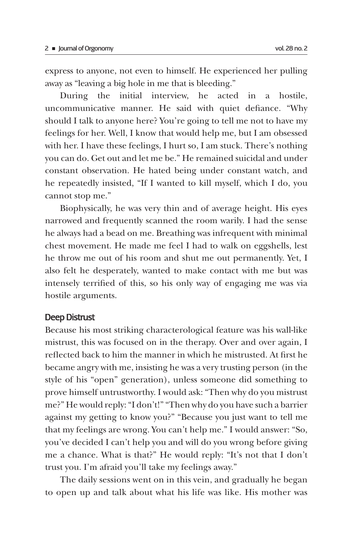express to anyone, not even to himself. He experienced her pulling away as "leaving a big hole in me that is bleeding."

During the initial interview, he acted in a hostile, uncommunicative manner. He said with quiet defiance. "Why should I talk to anyone here? You're going to tell me not to have my feelings for her. Well, I know that would help me, but I am obsessed with her. I have these feelings, I hurt so, I am stuck. There's nothing you can do. Get out and let me be." He remained suicidal and under constant observation. He hated being under constant watch, and he repeatedly insisted, "If I wanted to kill myself, which I do, you cannot stop me."

Biophysically, he was very thin and of average height. His eyes narrowed and frequently scanned the room warily. I had the sense he always had a bead on me. Breathing was infrequent with minimal chest movement. He made me feel I had to walk on eggshells, lest he throw me out of his room and shut me out permanently. Yet, I also felt he desperately, wanted to make contact with me but was intensely terrified of this, so his only way of engaging me was via hostile arguments.

## Deep Distrust

Because his most striking characterological feature was his wall-like mistrust, this was focused on in the therapy. Over and over again, I reflected back to him the manner in which he mistrusted. At first he became angry with me, insisting he was a very trusting person (in the style of his "open" generation), unless someone did something to prove himself untrustworthy. I would ask: "Then why do you mistrust me?" He would reply: "I don't!" "Then why do you have such a barrier against my getting to know you?" "Because you just want to tell me that my feelings are wrong. You can't help me." I would answer: "So, you've decided I can't help you and will do you wrong before giving me a chance. What is that?" He would reply: "It's not that I don't trust you. I'm afraid you'll take my feelings away."

The daily sessions went on in this vein, and gradually he began to open up and talk about what his life was like. His mother was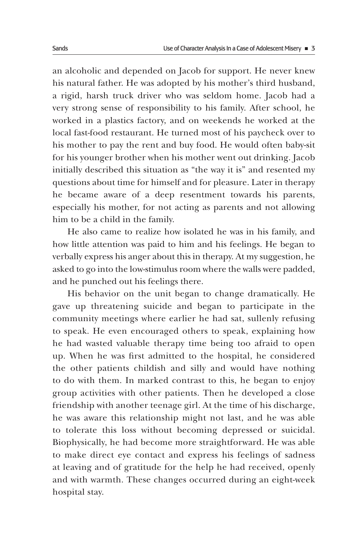an alcoholic and depended on Jacob for support. He never knew his natural father. He was adopted by his mother's third husband, a rigid, harsh truck driver who was seldom home. Jacob had a very strong sense of responsibility to his family. After school, he worked in a plastics factory, and on weekends he worked at the local fast-food restaurant. He turned most of his paycheck over to his mother to pay the rent and buy food. He would often baby-sit for his younger brother when his mother went out drinking. Jacob initially described this situation as "the way it is" and resented my questions about time for himself and for pleasure. Later in therapy he became aware of a deep resentment towards his parents, especially his mother, for not acting as parents and not allowing him to be a child in the family.

He also came to realize how isolated he was in his family, and how little attention was paid to him and his feelings. He began to verbally express his anger about this in therapy. At my suggestion, he asked to go into the low-stimulus room where the walls were padded, and he punched out his feelings there.

His behavior on the unit began to change dramatically. He gave up threatening suicide and began to participate in the community meetings where earlier he had sat, sullenly refusing to speak. He even encouraged others to speak, explaining how he had wasted valuable therapy time being too afraid to open up. When he was first admitted to the hospital, he considered the other patients childish and silly and would have nothing to do with them. In marked contrast to this, he began to enjoy group activities with other patients. Then he developed a close friendship with another teenage girl. At the time of his discharge, he was aware this relationship might not last, and he was able to tolerate this loss without becoming depressed or suicidal. Biophysically, he had become more straightforward. He was able to make direct eye contact and express his feelings of sadness at leaving and of gratitude for the help he had received, openly and with warmth. These changes occurred during an eight-week hospital stay.